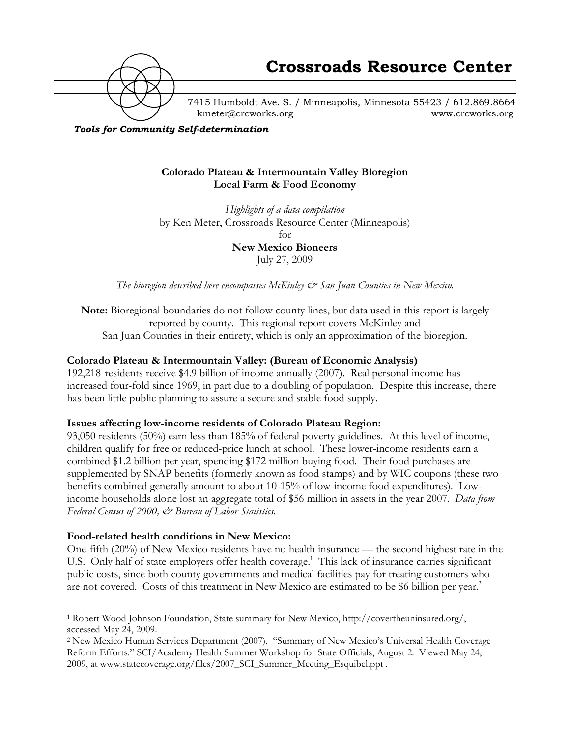

7415 Humboldt Ave. S. / Minneapolis, Minnesota 55423 / 612.869.8664 kmeter@crcworks.org www.crcworks.org

*Tools for Community Self-determination*

#### **Colorado Plateau & Intermountain Valley Bioregion Local Farm & Food Economy**

*Highlights of a data compilation* by Ken Meter, Crossroads Resource Center (Minneapolis) for **New Mexico Bioneers** July 27, 2009

*The bioregion described here encompasses McKinley*  $\mathcal{O}$  *San Juan Counties in New Mexico.* 

**Note:** Bioregional boundaries do not follow county lines, but data used in this report is largely reported by county. This regional report covers McKinley and San Juan Counties in their entirety, which is only an approximation of the bioregion.

#### **Colorado Plateau & Intermountain Valley: (Bureau of Economic Analysis)**

192,218 residents receive \$4.9 billion of income annually (2007). Real personal income has increased four-fold since 1969, in part due to a doubling of population. Despite this increase, there has been little public planning to assure a secure and stable food supply.

#### **Issues affecting low-income residents of Colorado Plateau Region:**

93,050 residents (50%) earn less than 185% of federal poverty guidelines. At this level of income, children qualify for free or reduced-price lunch at school. These lower-income residents earn a combined \$1.2 billion per year, spending \$172 million buying food. Their food purchases are supplemented by SNAP benefits (formerly known as food stamps) and by WIC coupons (these two benefits combined generally amount to about 10-15% of low-income food expenditures). Lowincome households alone lost an aggregate total of \$56 million in assets in the year 2007. *Data from Federal Census of 2000, & Bureau of Labor Statistics.*

#### **Food-related health conditions in New Mexico:**

One-fifth (20%) of New Mexico residents have no health insurance — the second highest rate in the U.S. Only half of state employers offer health coverage.<sup>1</sup> This lack of insurance carries significant public costs, since both county governments and medical facilities pay for treating customers who are not covered. Costs of this treatment in New Mexico are estimated to be \$6 billion per year.<sup>2</sup>

 <sup>1</sup> Robert Wood Johnson Foundation, State summary for New Mexico, http://covertheuninsured.org/, accessed May 24, 2009.

<sup>2</sup> New Mexico Human Services Department (2007). "Summary of New Mexico's Universal Health Coverage Reform Efforts." SCI/Academy Health Summer Workshop for State Officials, August 2. Viewed May 24, 2009, at www.statecoverage.org/files/2007\_SCI\_Summer\_Meeting\_Esquibel.ppt .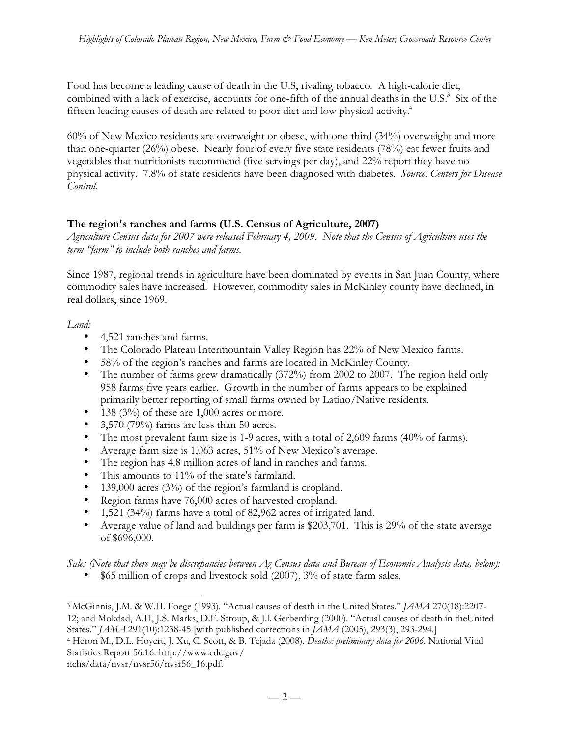Food has become a leading cause of death in the U.S, rivaling tobacco. A high-calorie diet, combined with a lack of exercise, accounts for one-fifth of the annual deaths in the U.S.<sup>3</sup> Six of the fifteen leading causes of death are related to poor diet and low physical activity.<sup>4</sup>

60% of New Mexico residents are overweight or obese, with one-third (34%) overweight and more than one-quarter (26%) obese. Nearly four of every five state residents (78%) eat fewer fruits and vegetables that nutritionists recommend (five servings per day), and 22% report they have no physical activity. 7.8% of state residents have been diagnosed with diabetes. *Source: Centers for Disease Control.*

# **The region's ranches and farms (U.S. Census of Agriculture, 2007)**

*Agriculture Census data for 2007 were released February 4, 2009. Note that the Census of Agriculture uses the term "farm" to include both ranches and farms.*

Since 1987, regional trends in agriculture have been dominated by events in San Juan County, where commodity sales have increased. However, commodity sales in McKinley county have declined, in real dollars, since 1969.

#### *Land:*

4,521 ranches and farms.

The Colorado Plateau Intermountain Valley Region has 22% of New Mexico farms. 58% of the region's ranches and farms are located in McKinley County. The number of farms grew dramatically (372%) from 2002 to 2007. The region held only 958 farms five years earlier. Growth in the number of farms appears to be explained primarily better reporting of small farms owned by Latino/Native residents. 138 (3%) of these are 1,000 acres or more. 3,570 (79%) farms are less than 50 acres. The most prevalent farm size is 1-9 acres, with a total of 2,609 farms (40% of farms). Average farm size is 1,063 acres, 51% of New Mexico's average. The region has 4.8 million acres of land in ranches and farms. This amounts to 11% of the state's farmland. 139,000 acres (3%) of the region's farmland is cropland. Region farms have 76,000 acres of harvested cropland. 1,521 (34%) farms have a total of 82,962 acres of irrigated land. Average value of land and buildings per farm is \$203,701. This is 29% of the state average of \$696,000.

*Sales (Note that there may be discrepancies between Ag Census data and Bureau of Economic Analysis data, below):* \$65 million of crops and livestock sold (2007), 3% of state farm sales.

States." *JAMA* 291(10):1238-45 [with published corrections in *JAMA* (2005), 293(3), 293-294.]

 <sup>3</sup> McGinnis, J.M. & W.H. Foege (1993). "Actual causes of death in the United States." *JAMA* 270(18):2207- 12; and Mokdad, A.H, J.S. Marks, D.F. Stroup, & J.l. Gerberding (2000). "Actual causes of death in theUnited

<sup>4</sup> Heron M., D.L. Hoyert, J. Xu, C. Scott, & B. Tejada (2008). *Deaths: preliminary data for 2006.* National Vital Statistics Report 56:16. http://www.cdc.gov/

nchs/data/nvsr/nvsr56/nvsr56\_16.pdf.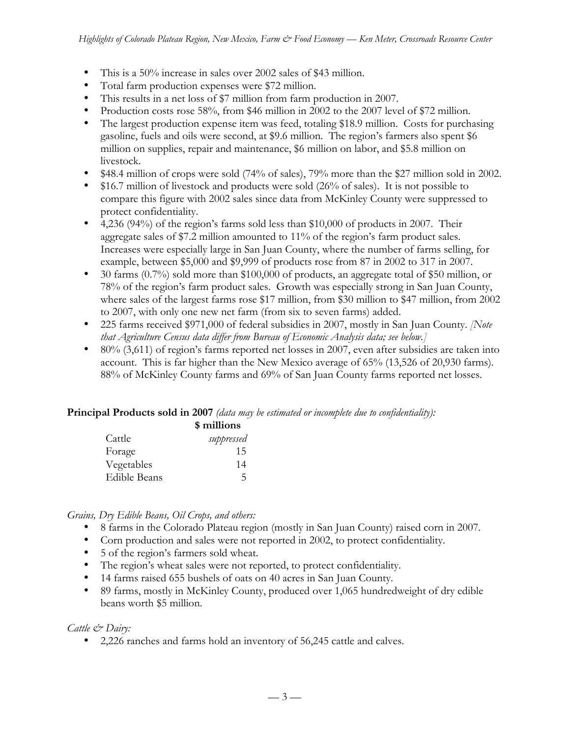This is a 50% increase in sales over 2002 sales of \$43 million.

Total farm production expenses were \$72 million.

This results in a net loss of \$7 million from farm production in 2007.

Production costs rose 58%, from \$46 million in 2002 to the 2007 level of \$72 million. The largest production expense item was feed, totaling \$18.9 million. Costs for purchasing gasoline, fuels and oils were second, at \$9.6 million. The region's farmers also spent \$6 million on supplies, repair and maintenance, \$6 million on labor, and \$5.8 million on livestock.

\$48.4 million of crops were sold (74% of sales), 79% more than the \$27 million sold in 2002. \$16.7 million of livestock and products were sold (26% of sales). It is not possible to compare this figure with 2002 sales since data from McKinley County were suppressed to protect confidentiality.

4,236 (94%) of the region's farms sold less than \$10,000 of products in 2007. Their aggregate sales of \$7.2 million amounted to 11% of the region's farm product sales. Increases were especially large in San Juan County, where the number of farms selling, for example, between \$5,000 and \$9,999 of products rose from 87 in 2002 to 317 in 2007. 30 farms (0.7%) sold more than \$100,000 of products, an aggregate total of \$50 million, or 78% of the region's farm product sales. Growth was especially strong in San Juan County, where sales of the largest farms rose \$17 million, from \$30 million to \$47 million, from 2002 to 2007, with only one new net farm (from six to seven farms) added.

225 farms received \$971,000 of federal subsidies in 2007, mostly in San Juan County. *[Note that Agriculture Census data differ from Bureau of Economic Analysis data; see below.]*

80% (3,611) of region's farms reported net losses in 2007, even after subsidies are taken into account. This is far higher than the New Mexico average of 65% (13,526 of 20,930 farms). 88% of McKinley County farms and 69% of San Juan County farms reported net losses.

#### **Principal Products sold in 2007** *(data may be estimated or incomplete due to confidentiality):*

| \$ millions  |            |
|--------------|------------|
| Cattle       | suppressed |
| Forage       | 15         |
| Vegetables   | 14         |
| Edible Beans |            |

#### *Grains, Dry Edible Beans, Oil Crops, and others:*

8 farms in the Colorado Plateau region (mostly in San Juan County) raised corn in 2007. Corn production and sales were not reported in 2002, to protect confidentiality. 5 of the region's farmers sold wheat.

The region's wheat sales were not reported, to protect confidentiality.

14 farms raised 655 bushels of oats on 40 acres in San Juan County.

89 farms, mostly in McKinley County, produced over 1,065 hundredweight of dry edible beans worth \$5 million.

#### *Cattle & Dairy:*

2,226 ranches and farms hold an inventory of 56,245 cattle and calves.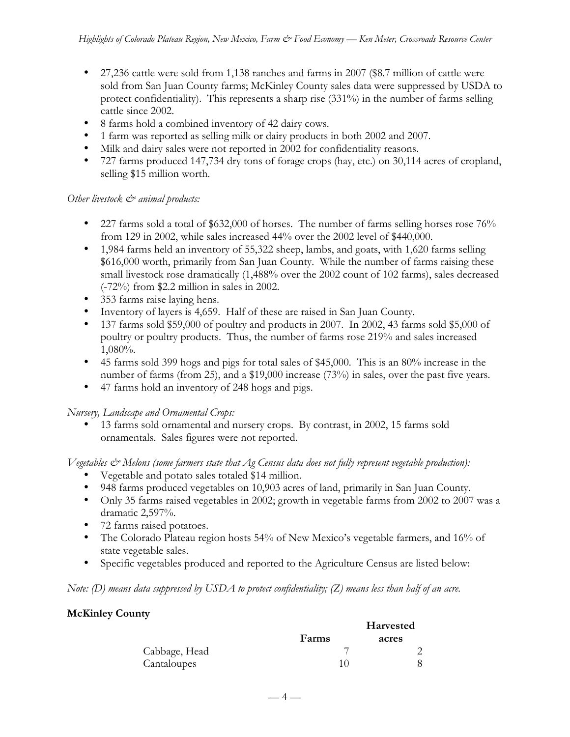27,236 cattle were sold from 1,138 ranches and farms in 2007 (\$8.7 million of cattle were sold from San Juan County farms; McKinley County sales data were suppressed by USDA to protect confidentiality). This represents a sharp rise (331%) in the number of farms selling cattle since 2002.

8 farms hold a combined inventory of 42 dairy cows.

1 farm was reported as selling milk or dairy products in both 2002 and 2007.

Milk and dairy sales were not reported in 2002 for confidentiality reasons.

727 farms produced 147,734 dry tons of forage crops (hay, etc.) on 30,114 acres of cropland, selling \$15 million worth.

#### *Other livestock*  $\mathcal{O}^*$  animal products:

227 farms sold a total of \$632,000 of horses. The number of farms selling horses rose 76% from 129 in 2002, while sales increased 44% over the 2002 level of \$440,000.

1,984 farms held an inventory of 55,322 sheep, lambs, and goats, with 1,620 farms selling \$616,000 worth, primarily from San Juan County. While the number of farms raising these small livestock rose dramatically (1,488% over the 2002 count of 102 farms), sales decreased (-72%) from \$2.2 million in sales in 2002.

353 farms raise laying hens.

Inventory of layers is 4,659. Half of these are raised in San Juan County.

137 farms sold \$59,000 of poultry and products in 2007. In 2002, 43 farms sold \$5,000 of poultry or poultry products. Thus, the number of farms rose 219% and sales increased 1,080%.

45 farms sold 399 hogs and pigs for total sales of \$45,000. This is an 80% increase in the number of farms (from 25), and a \$19,000 increase (73%) in sales, over the past five years. 47 farms hold an inventory of 248 hogs and pigs.

*Nursery, Landscape and Ornamental Crops:*

13 farms sold ornamental and nursery crops. By contrast, in 2002, 15 farms sold ornamentals. Sales figures were not reported.

*Vegetables & Melons (some farmers state that Ag Census data does not fully represent vegetable production):* Vegetable and potato sales totaled \$14 million.

948 farms produced vegetables on 10,903 acres of land, primarily in San Juan County. Only 35 farms raised vegetables in 2002; growth in vegetable farms from 2002 to 2007 was a dramatic 2,597%.

72 farms raised potatoes.

The Colorado Plateau region hosts 54% of New Mexico's vegetable farmers, and 16% of state vegetable sales.

Specific vegetables produced and reported to the Agriculture Census are listed below:

*Note: (D) means data suppressed by USDA to protect confidentiality; (Z) means less than half of an acre.*

#### **McKinley County**

|               |       | <b>Harvested</b> |
|---------------|-------|------------------|
|               | Farms | acres            |
| Cabbage, Head |       |                  |
| Cantaloupes   |       |                  |

 $-4-$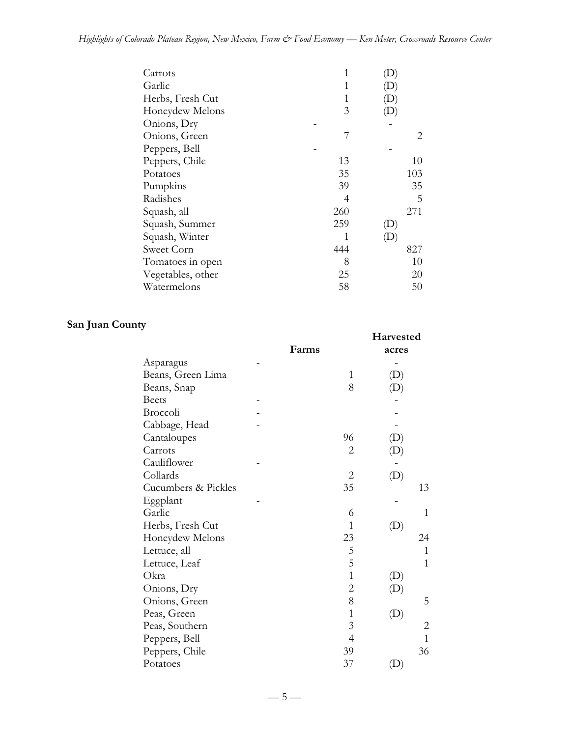| Carrots           | 1   |     |
|-------------------|-----|-----|
| Garlic            | 1   | D)  |
| Herbs, Fresh Cut  | 1   |     |
| Honeydew Melons   | 3   |     |
| Onions, Dry       |     |     |
| Onions, Green     | 7   | 2   |
| Peppers, Bell     |     |     |
| Peppers, Chile    | 13  | 10  |
| Potatoes          | 35  | 103 |
| Pumpkins          | 39  | 35  |
| Radishes          | 4   | 5   |
| Squash, all       | 260 | 271 |
| Squash, Summer    | 259 |     |
| Squash, Winter    | 1   |     |
| Sweet Corn        | 444 | 827 |
| Tomatoes in open  | 8   | 10  |
| Vegetables, other | 25  | 20  |
| Watermelons       | 58  | 50  |

# **San Juan County**

|                     |       |                | Harvested                  |                |
|---------------------|-------|----------------|----------------------------|----------------|
|                     | Farms |                | acres                      |                |
| Asparagus           |       |                |                            |                |
| Beans, Green Lima   |       | 1              | (D)                        |                |
| Beans, Snap         |       | 8              |                            |                |
| <b>Beets</b>        |       |                |                            |                |
| Broccoli            |       |                |                            |                |
| Cabbage, Head       |       |                |                            |                |
| Cantaloupes         |       | 96             | $\left( \mathrm{D}\right)$ |                |
| Carrots             |       | $\overline{2}$ | $\left( \mathrm{D}\right)$ |                |
| Cauliflower         |       |                |                            |                |
| Collards            |       | $\mathbf{2}$   | (D)                        |                |
| Cucumbers & Pickles |       | 35             |                            | 13             |
| Eggplant            |       |                |                            |                |
| Garlic              |       | 6              |                            | $\mathbf{1}$   |
| Herbs, Fresh Cut    |       | $\mathbf{1}$   | (D)                        |                |
| Honeydew Melons     |       | 23             |                            | 24             |
| Lettuce, all        |       | 5              |                            | $\mathbf{1}$   |
| Lettuce, Leaf       |       | 5              |                            | $\overline{1}$ |
| Okra                |       | $\mathbf{1}$   | $\left( \mathrm{D}\right)$ |                |
| Onions, Dry         |       | $\overline{c}$ | $\left( \mathrm{D}\right)$ |                |
| Onions, Green       |       | 8              |                            | 5              |
| Peas, Green         |       | $\mathbf{1}$   | (D)                        |                |
| Peas, Southern      |       | 3              |                            | $\overline{c}$ |
| Peppers, Bell       |       | $\overline{4}$ |                            | $\overline{1}$ |
| Peppers, Chile      |       | 39             |                            | 36             |
| Potatoes            |       | 37             | (D)                        |                |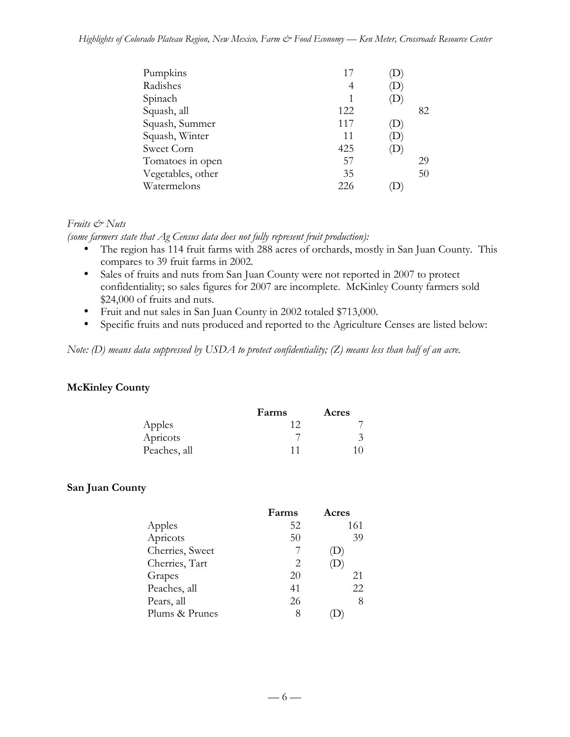#### *Highlights of Colorado Plateau Region, New Mexico, Farm & Food Economy — Ken Meter, Crossroads Resource Center*

| 17  |                            |    |
|-----|----------------------------|----|
| 4   | D                          |    |
|     | $\left(\mathbf{D}\right)$  |    |
| 122 |                            | 82 |
| 117 | $\mathbf{D}$               |    |
| 11  | (D)                        |    |
| 425 | $\left( \mathrm{D}\right)$ |    |
| 57  |                            | 29 |
| 35  |                            | 50 |
| 226 |                            |    |
|     |                            |    |

#### *Fruits & Nuts*

*(some farmers state that Ag Census data does not fully represent fruit production):*

The region has 114 fruit farms with 288 acres of orchards, mostly in San Juan County. This compares to 39 fruit farms in 2002.

Sales of fruits and nuts from San Juan County were not reported in 2007 to protect confidentiality; so sales figures for 2007 are incomplete. McKinley County farmers sold \$24,000 of fruits and nuts.

Fruit and nut sales in San Juan County in 2002 totaled \$713,000.

Specific fruits and nuts produced and reported to the Agriculture Censes are listed below:

*Note: (D) means data suppressed by USDA to protect confidentiality; (Z) means less than half of an acre.*

#### **McKinley County**

|              | Farms | Acres |
|--------------|-------|-------|
| Apples       |       |       |
| Apricots     |       |       |
| Peaches, all | 11    | 10    |

#### **San Juan County**

|                 | Farms | Acres                      |
|-----------------|-------|----------------------------|
| Apples          | 52    | 161                        |
| Apricots        | 50    | 39                         |
| Cherries, Sweet |       | $\left( \mathrm{L}\right)$ |
| Cherries, Tart  | 2.    | D                          |
| Grapes          | 20    | 21                         |
| Peaches, all    | 41    | 22                         |
| Pears, all      | 26    | 8                          |
| Plums & Prunes  | 8     |                            |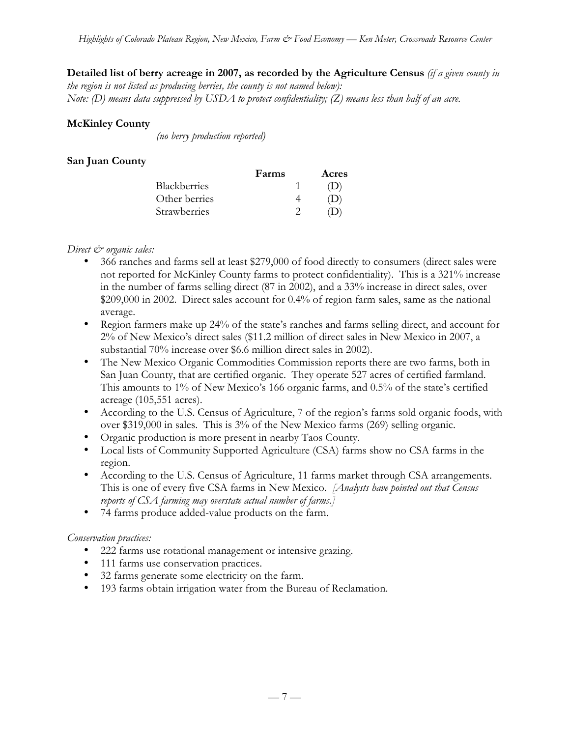#### **Detailed list of berry acreage in 2007, as recorded by the Agriculture Census** *(if a given county in*

*the region is not listed as producing berries, the county is not named below): Note: (D) means data suppressed by USDA to protect confidentiality; (Z) means less than half of an acre.*

#### **McKinley County**

 *(no berry production reported)*

#### **San Juan County**

|                     | Farms | Acres |
|---------------------|-------|-------|
| Blackberries        |       | (1)   |
| Other berries       |       | (1)   |
| <b>Strawberries</b> |       |       |

#### *Direct*  $\mathcal{Q}$  organic sales:

366 ranches and farms sell at least \$279,000 of food directly to consumers (direct sales were not reported for McKinley County farms to protect confidentiality). This is a 321% increase in the number of farms selling direct (87 in 2002), and a 33% increase in direct sales, over \$209,000 in 2002. Direct sales account for 0.4% of region farm sales, same as the national average.

Region farmers make up 24% of the state's ranches and farms selling direct, and account for 2% of New Mexico's direct sales (\$11.2 million of direct sales in New Mexico in 2007, a substantial 70% increase over \$6.6 million direct sales in 2002).

The New Mexico Organic Commodities Commission reports there are two farms, both in San Juan County, that are certified organic. They operate 527 acres of certified farmland. This amounts to 1% of New Mexico's 166 organic farms, and 0.5% of the state's certified acreage (105,551 acres).

According to the U.S. Census of Agriculture, 7 of the region's farms sold organic foods, with over \$319,000 in sales. This is 3% of the New Mexico farms (269) selling organic.

Organic production is more present in nearby Taos County.

Local lists of Community Supported Agriculture (CSA) farms show no CSA farms in the region.

According to the U.S. Census of Agriculture, 11 farms market through CSA arrangements. This is one of every five CSA farms in New Mexico. *[Analysts have pointed out that Census reports of CSA farming may overstate actual number of farms.]*

74 farms produce added-value products on the farm.

#### *Conservation practices:*

222 farms use rotational management or intensive grazing.

111 farms use conservation practices.

32 farms generate some electricity on the farm.

193 farms obtain irrigation water from the Bureau of Reclamation.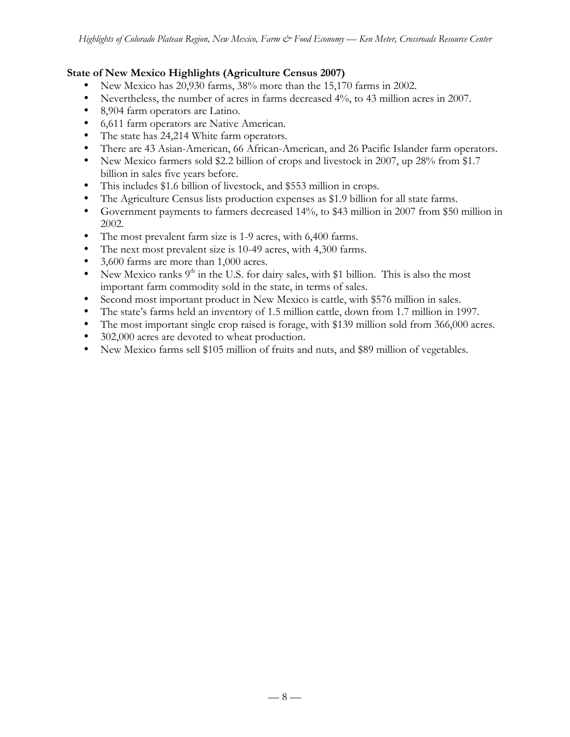#### **State of New Mexico Highlights (Agriculture Census 2007)**

New Mexico has 20,930 farms, 38% more than the 15,170 farms in 2002.

Nevertheless, the number of acres in farms decreased 4%, to 43 million acres in 2007.

8,904 farm operators are Latino.

6,611 farm operators are Native American.

The state has 24,214 White farm operators.

There are 43 Asian-American, 66 African-American, and 26 Pacific Islander farm operators. New Mexico farmers sold \$2.2 billion of crops and livestock in 2007, up 28% from \$1.7 billion in sales five years before.

This includes \$1.6 billion of livestock, and \$553 million in crops.

The Agriculture Census lists production expenses as \$1.9 billion for all state farms.

Government payments to farmers decreased 14%, to \$43 million in 2007 from \$50 million in 2002.

The most prevalent farm size is 1-9 acres, with 6,400 farms.

The next most prevalent size is 10-49 acres, with 4,300 farms.

3,600 farms are more than 1,000 acres.

New Mexico ranks  $9<sup>th</sup>$  in the U.S. for dairy sales, with \$1 billion. This is also the most important farm commodity sold in the state, in terms of sales.

Second most important product in New Mexico is cattle, with \$576 million in sales.

The state's farms held an inventory of 1.5 million cattle, down from 1.7 million in 1997.

The most important single crop raised is forage, with \$139 million sold from 366,000 acres. 302,000 acres are devoted to wheat production.

New Mexico farms sell \$105 million of fruits and nuts, and \$89 million of vegetables.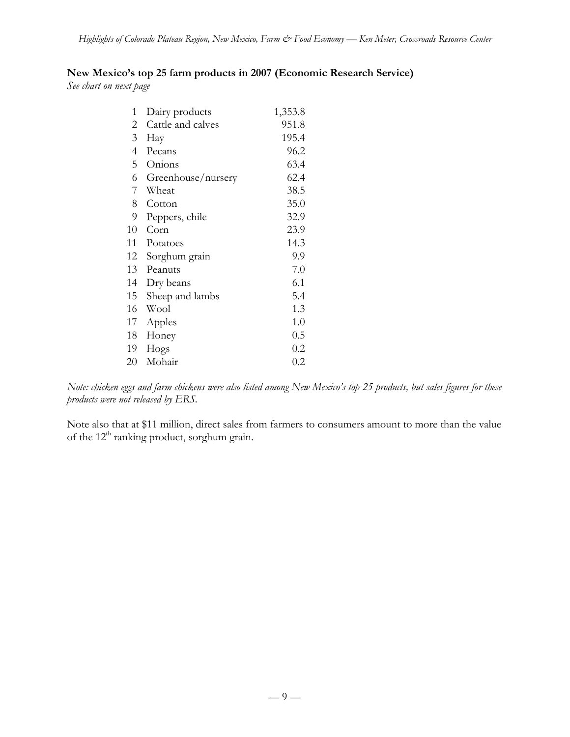## **New Mexico's top 25 farm products in 2007 (Economic Research Service)**

*See chart on next page*

| $\mathbf{1}$   | Dairy products     | 1,353.8 |
|----------------|--------------------|---------|
| 2              | Cattle and calves  | 951.8   |
| $\mathfrak{Z}$ | Hay                | 195.4   |
| $\overline{4}$ | Pecans             | 96.2    |
| 5              | Onions             | 63.4    |
| 6              | Greenhouse/nursery | 62.4    |
| 7              | Wheat              | 38.5    |
| 8              | Cotton             | 35.0    |
| 9              | Peppers, chile     | 32.9    |
| 10             | Corn               | 23.9    |
| 11             | Potatoes           | 14.3    |
| 12             | Sorghum grain      | 9.9     |
| 13             | Peanuts            | 7.0     |
| 14             | Dry beans          | 6.1     |
| 15             | Sheep and lambs    | 5.4     |
| 16             | Wool               | 1.3     |
| 17             | Apples             | 1.0     |
| 18             | Honey              | 0.5     |
| 19             | Hogs               | 0.2     |
| 20             | Mohair             | 0.2     |

*Note: chicken eggs and farm chickens were also listed among New Mexico's top 25 products, but sales figures for these products were not released by ERS.*

Note also that at \$11 million, direct sales from farmers to consumers amount to more than the value of the  $12<sup>th</sup>$  ranking product, sorghum grain.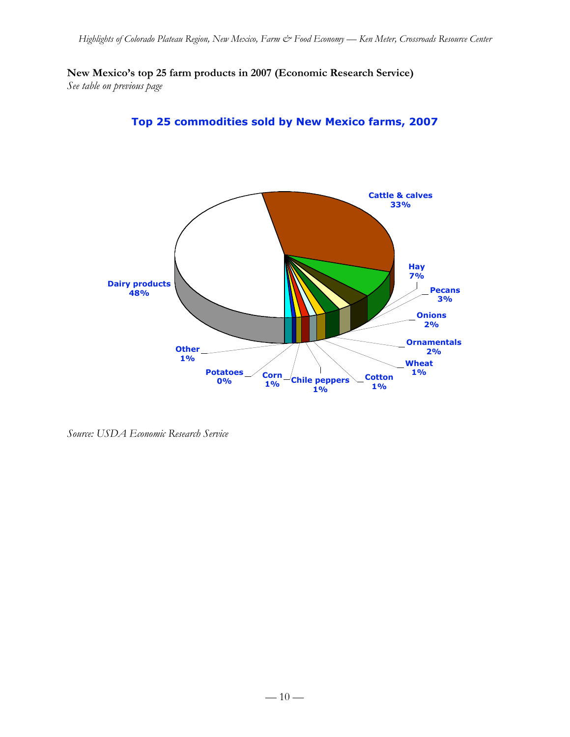**New Mexico's top 25 farm products in 2007 (Economic Research Service)** *See table on previous page*

> **Cattle & calves 33%**



**Dairy products 48% Other 1% Potatoes 0% Corn 1% Chile peppers 1% Cotton 1% Wheat 1% Ornamentals 2% Onions 2% Hay 7% Pecans 3%**

*Source: USDA Economic Research Service*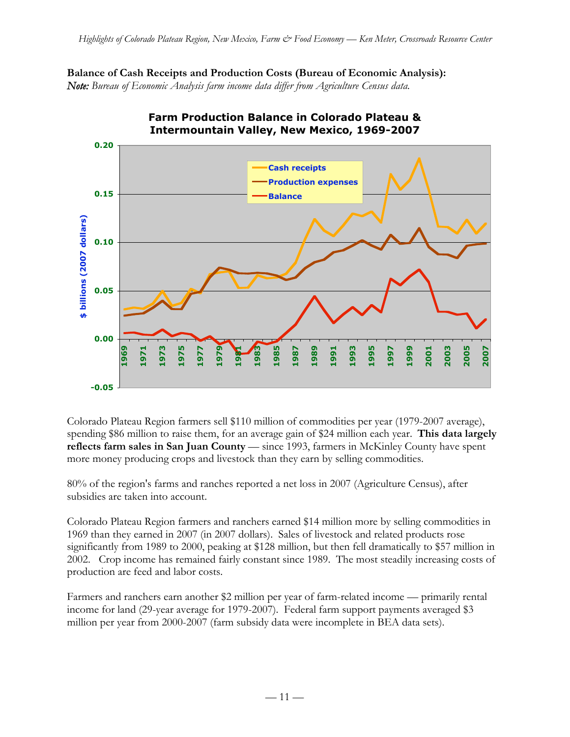**Balance of Cash Receipts and Production Costs (Bureau of Economic Analysis):** *Note: Bureau of Economic Analysis farm income data differ from Agriculture Census data.*



**Farm Production Balance in Colorado Plateau &**

Colorado Plateau Region farmers sell \$110 million of commodities per year (1979-2007 average), spending \$86 million to raise them, for an average gain of \$24 million each year. **This data largely reflects farm sales in San Juan County** — since 1993, farmers in McKinley County have spent more money producing crops and livestock than they earn by selling commodities.

80% of the region's farms and ranches reported a net loss in 2007 (Agriculture Census), after subsidies are taken into account.

Colorado Plateau Region farmers and ranchers earned \$14 million more by selling commodities in 1969 than they earned in 2007 (in 2007 dollars). Sales of livestock and related products rose significantly from 1989 to 2000, peaking at \$128 million, but then fell dramatically to \$57 million in 2002. Crop income has remained fairly constant since 1989. The most steadily increasing costs of production are feed and labor costs.

Farmers and ranchers earn another \$2 million per year of farm-related income — primarily rental income for land (29-year average for 1979-2007). Federal farm support payments averaged \$3 million per year from 2000-2007 (farm subsidy data were incomplete in BEA data sets).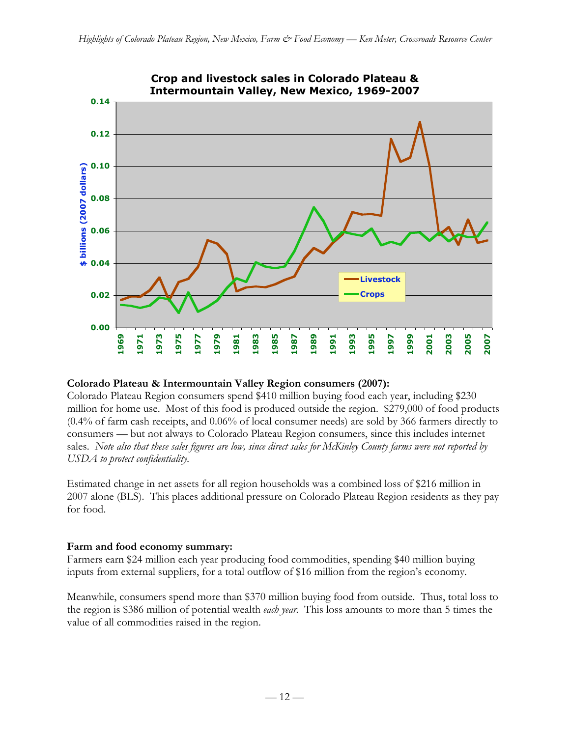

# **Crop and livestock sales in Colorado Plateau &**

#### **Colorado Plateau & Intermountain Valley Region consumers (2007):**

Colorado Plateau Region consumers spend \$410 million buying food each year, including \$230 million for home use. Most of this food is produced outside the region. \$279,000 of food products (0.4% of farm cash receipts, and 0.06% of local consumer needs) are sold by 366 farmers directly to consumers — but not always to Colorado Plateau Region consumers, since this includes internet sales. *Note also that these sales figures are low, since direct sales for McKinley County farms were not reported by USDA to protect confidentiality.*

Estimated change in net assets for all region households was a combined loss of \$216 million in 2007 alone (BLS). This places additional pressure on Colorado Plateau Region residents as they pay for food.

#### **Farm and food economy summary:**

Farmers earn \$24 million each year producing food commodities, spending \$40 million buying inputs from external suppliers, for a total outflow of \$16 million from the region's economy.

Meanwhile, consumers spend more than \$370 million buying food from outside. Thus, total loss to the region is \$386 million of potential wealth *each year*. This loss amounts to more than 5 times the value of all commodities raised in the region.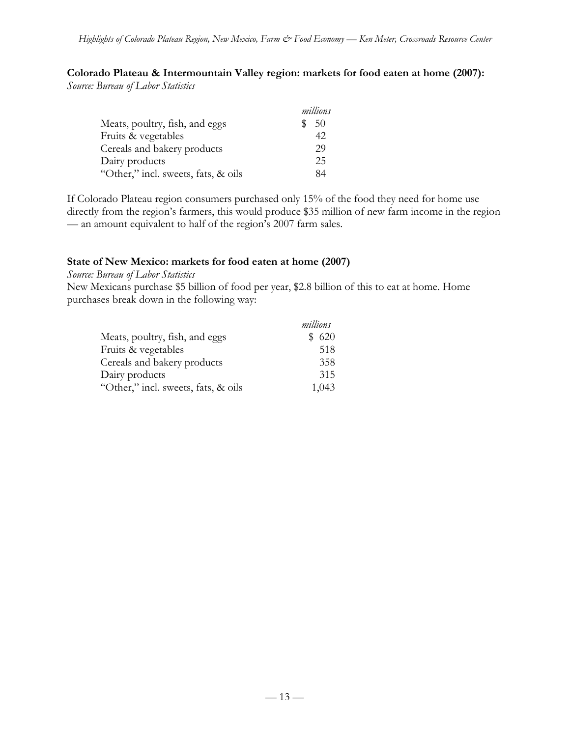**Colorado Plateau & Intermountain Valley region: markets for food eaten at home (2007):** *Source: Bureau of Labor Statistics*

|                                     | millions |
|-------------------------------------|----------|
| Meats, poultry, fish, and eggs      | 50       |
| Fruits & vegetables                 | 42.      |
| Cereals and bakery products         | 29       |
| Dairy products                      | 25       |
| "Other," incl. sweets, fats, & oils | 84       |

If Colorado Plateau region consumers purchased only 15% of the food they need for home use directly from the region's farmers, this would produce \$35 million of new farm income in the region — an amount equivalent to half of the region's 2007 farm sales.

#### **State of New Mexico: markets for food eaten at home (2007)**

*Source: Bureau of Labor Statistics*

New Mexicans purchase \$5 billion of food per year, \$2.8 billion of this to eat at home. Home purchases break down in the following way:

|                                     | millions |
|-------------------------------------|----------|
| Meats, poultry, fish, and eggs      | \$620    |
| Fruits & vegetables                 | 518      |
| Cereals and bakery products         | 358      |
| Dairy products                      | 315      |
| "Other," incl. sweets, fats, & oils | 1,043    |